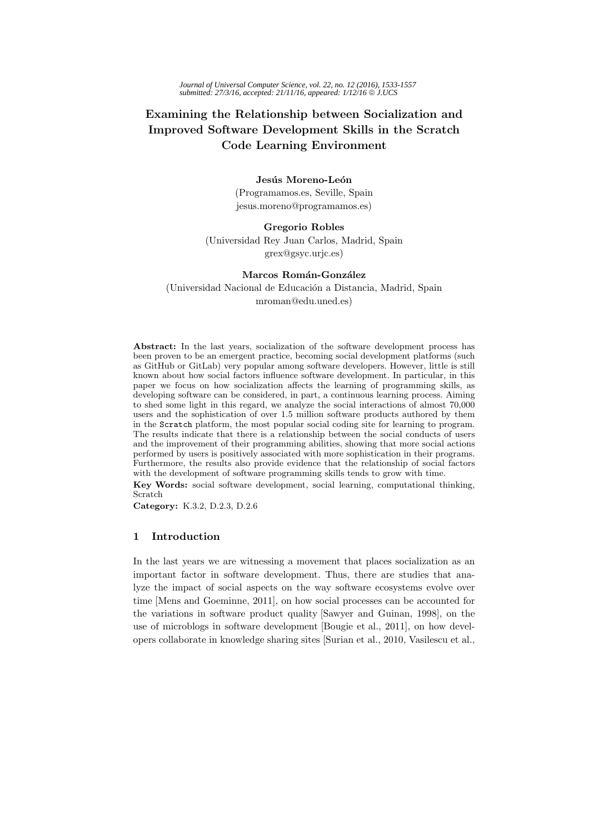# **Examining the Relationship between Socialization and Improved Software Development Skills in the Scratch Code Learning Environment**

### Jesús Moreno-León

(Programamos.es, Seville, Spain jesus.moreno@programamos.es)

### **Gregorio Robles**

(Universidad Rey Juan Carlos, Madrid, Spain grex@gsyc.urjc.es)

# **Marcos Román-González**

(Universidad Nacional de Educación a Distancia, Madrid, Spain mroman@edu.uned.es)

**Abstract:** In the last years, socialization of the software development process has been proven to be an emergent practice, becoming social development platforms (such as GitHub or GitLab) very popular among software developers. However, little is still known about how social factors influence software development. In particular, in this paper we focus on how socialization affects the learning of programming skills, as developing software can be considered, in part, a continuous learning process. Aiming to shed some light in this regard, we analyze the social interactions of almost 70,000 users and the sophistication of over 1.5 million software products authored by them in the Scratch platform, the most popular social coding site for learning to program. The results indicate that there is a relationship between the social conducts of users and the improvement of their programming abilities, showing that more social actions performed by users is positively associated with more sophistication in their programs. Furthermore, the results also provide evidence that the relationship of social factors with the development of software programming skills tends to grow with time.

**Key Words:** social software development, social learning, computational thinking, Scratch

**Category:** K.3.2, D.2.3, D.2.6

### **1 Introduction**

In the last years we are witnessing a movement that places socialization as an important factor in software development. Thus, there are studies that analyze the impact of social aspects on the way software ecosystems evolve over time [Mens and Goeminne, 2011], on how social processes can be accounted for the variations in software product quality [Sawyer and Guinan, 1998], on the use of microblogs in software development [Bougie et al., 2011], on how developers collaborate in knowledge sharing sites [Surian et al., 2010, Vasilescu et al.,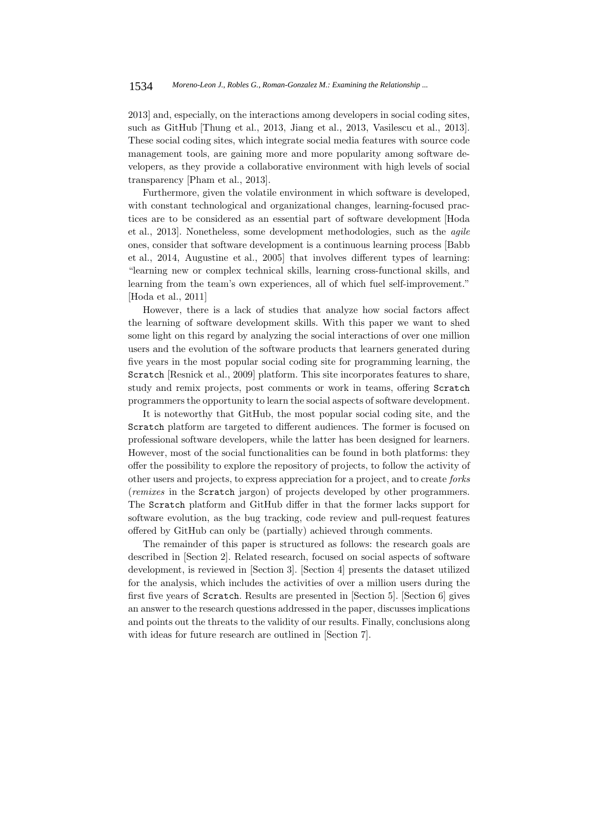2013] and, especially, on the interactions among developers in social coding sites, such as GitHub [Thung et al., 2013, Jiang et al., 2013, Vasilescu et al., 2013]. These social coding sites, which integrate social media features with source code management tools, are gaining more and more popularity among software developers, as they provide a collaborative environment with high levels of social transparency [Pham et al., 2013].

Furthermore, given the volatile environment in which software is developed, with constant technological and organizational changes, learning-focused practices are to be considered as an essential part of software development [Hoda et al., 2013]. Nonetheless, some development methodologies, such as the agile ones, consider that software development is a continuous learning process [Babb et al., 2014, Augustine et al., 2005] that involves different types of learning: "learning new or complex technical skills, learning cross-functional skills, and learning from the team's own experiences, all of which fuel self-improvement." [Hoda et al., 2011]

However, there is a lack of studies that analyze how social factors affect the learning of software development skills. With this paper we want to shed some light on this regard by analyzing the social interactions of over one million users and the evolution of the software products that learners generated during five years in the most popular social coding site for programming learning, the Scratch [Resnick et al., 2009] platform. This site incorporates features to share, study and remix projects, post comments or work in teams, offering Scratch programmers the opportunity to learn the social aspects of software development.

It is noteworthy that GitHub, the most popular social coding site, and the Scratch platform are targeted to different audiences. The former is focused on professional software developers, while the latter has been designed for learners. However, most of the social functionalities can be found in both platforms: they offer the possibility to explore the repository of projects, to follow the activity of other users and projects, to express appreciation for a project, and to create forks (remixes in the Scratch jargon) of projects developed by other programmers. The Scratch platform and GitHub differ in that the former lacks support for software evolution, as the bug tracking, code review and pull-request features offered by GitHub can only be (partially) achieved through comments.

The remainder of this paper is structured as follows: the research goals are described in [Section 2]. Related research, focused on social aspects of software development, is reviewed in [Section 3]. [Section 4] presents the dataset utilized for the analysis, which includes the activities of over a million users during the first five years of Scratch. Results are presented in [Section 5]. [Section 6] gives an answer to the research questions addressed in the paper, discusses implications and points out the threats to the validity of our results. Finally, conclusions along with ideas for future research are outlined in [Section 7].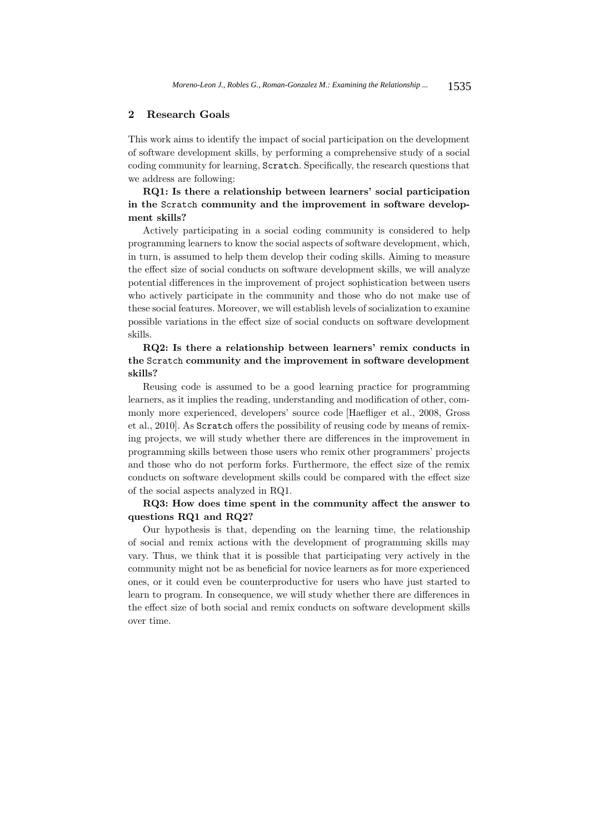## **2 Research Goals**

This work aims to identify the impact of social participation on the development of software development skills, by performing a comprehensive study of a social coding community for learning, Scratch. Specifically, the research questions that we address are following:

# **RQ1: Is there a relationship between learners' social participation in the** Scratch **community and the improvement in software development skills?**

Actively participating in a social coding community is considered to help programming learners to know the social aspects of software development, which, in turn, is assumed to help them develop their coding skills. Aiming to measure the effect size of social conducts on software development skills, we will analyze potential differences in the improvement of project sophistication between users who actively participate in the community and those who do not make use of these social features. Moreover, we will establish levels of socialization to examine possible variations in the effect size of social conducts on software development skills.

# **RQ2: Is there a relationship between learners' remix conducts in the** Scratch **community and the improvement in software development skills?**

Reusing code is assumed to be a good learning practice for programming learners, as it implies the reading, understanding and modification of other, commonly more experienced, developers' source code [Haefliger et al., 2008, Gross et al., 2010]. As Scratch offers the possibility of reusing code by means of remixing projects, we will study whether there are differences in the improvement in programming skills between those users who remix other programmers' projects and those who do not perform forks. Furthermore, the effect size of the remix conducts on software development skills could be compared with the effect size of the social aspects analyzed in RQ1.

## **RQ3: How does time spent in the community affect the answer to questions RQ1 and RQ2?**

Our hypothesis is that, depending on the learning time, the relationship of social and remix actions with the development of programming skills may vary. Thus, we think that it is possible that participating very actively in the community might not be as beneficial for novice learners as for more experienced ones, or it could even be counterproductive for users who have just started to learn to program. In consequence, we will study whether there are differences in the effect size of both social and remix conducts on software development skills over time.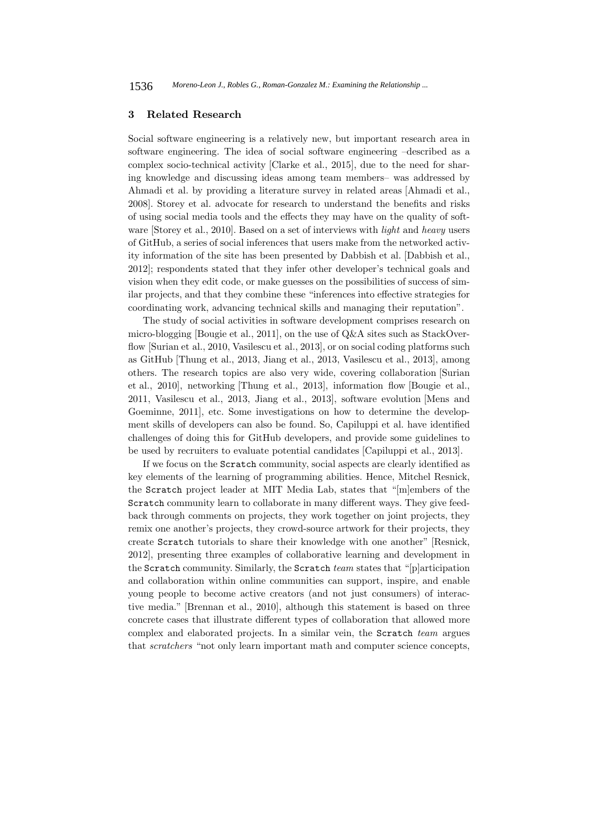### **3 Related Research**

Social software engineering is a relatively new, but important research area in software engineering. The idea of social software engineering –described as a complex socio-technical activity [Clarke et al., 2015], due to the need for sharing knowledge and discussing ideas among team members– was addressed by Ahmadi et al. by providing a literature survey in related areas [Ahmadi et al., 2008]. Storey et al. advocate for research to understand the benefits and risks of using social media tools and the effects they may have on the quality of software [Storey et al., 2010]. Based on a set of interviews with light and heavy users of GitHub, a series of social inferences that users make from the networked activity information of the site has been presented by Dabbish et al. [Dabbish et al., 2012]; respondents stated that they infer other developer's technical goals and vision when they edit code, or make guesses on the possibilities of success of similar projects, and that they combine these "inferences into effective strategies for coordinating work, advancing technical skills and managing their reputation".

The study of social activities in software development comprises research on micro-blogging [Bougie et al., 2011], on the use of Q&A sites such as StackOverflow [Surian et al., 2010, Vasilescu et al., 2013], or on social coding platforms such as GitHub [Thung et al., 2013, Jiang et al., 2013, Vasilescu et al., 2013], among others. The research topics are also very wide, covering collaboration [Surian et al., 2010], networking [Thung et al., 2013], information flow [Bougie et al., 2011, Vasilescu et al., 2013, Jiang et al., 2013], software evolution [Mens and Goeminne, 2011], etc. Some investigations on how to determine the development skills of developers can also be found. So, Capiluppi et al. have identified challenges of doing this for GitHub developers, and provide some guidelines to be used by recruiters to evaluate potential candidates [Capiluppi et al., 2013].

If we focus on the Scratch community, social aspects are clearly identified as key elements of the learning of programming abilities. Hence, Mitchel Resnick, the Scratch project leader at MIT Media Lab, states that "[m]embers of the Scratch community learn to collaborate in many different ways. They give feedback through comments on projects, they work together on joint projects, they remix one another's projects, they crowd-source artwork for their projects, they create Scratch tutorials to share their knowledge with one another" [Resnick, 2012], presenting three examples of collaborative learning and development in the Scratch community. Similarly, the Scratch team states that "[p]articipation and collaboration within online communities can support, inspire, and enable young people to become active creators (and not just consumers) of interactive media." [Brennan et al., 2010], although this statement is based on three concrete cases that illustrate different types of collaboration that allowed more complex and elaborated projects. In a similar vein, the Scratch team argues that scratchers "not only learn important math and computer science concepts,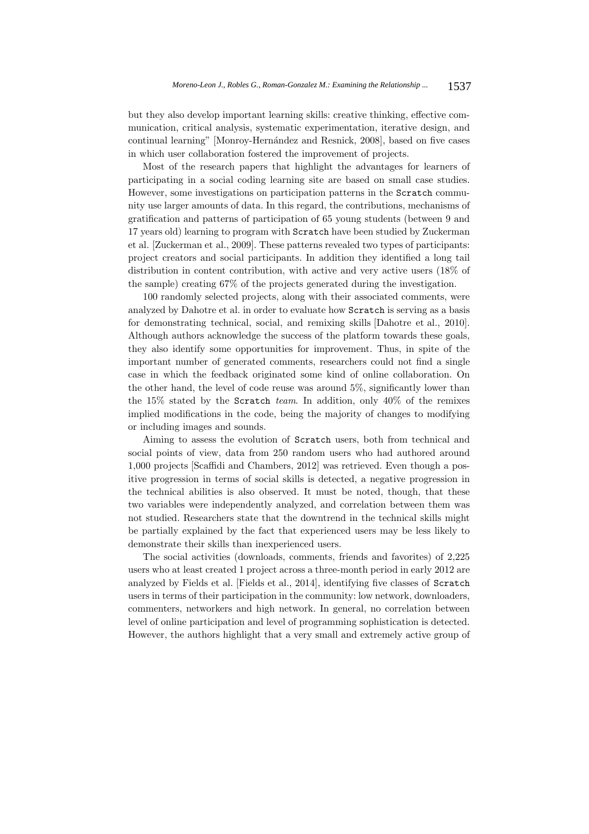but they also develop important learning skills: creative thinking, effective communication, critical analysis, systematic experimentation, iterative design, and continual learning" [Monroy-Hern´andez and Resnick, 2008], based on five cases in which user collaboration fostered the improvement of projects.

Most of the research papers that highlight the advantages for learners of participating in a social coding learning site are based on small case studies. However, some investigations on participation patterns in the Scratch community use larger amounts of data. In this regard, the contributions, mechanisms of gratification and patterns of participation of 65 young students (between 9 and 17 years old) learning to program with Scratch have been studied by Zuckerman et al. [Zuckerman et al., 2009]. These patterns revealed two types of participants: project creators and social participants. In addition they identified a long tail distribution in content contribution, with active and very active users (18% of the sample) creating 67% of the projects generated during the investigation.

100 randomly selected projects, along with their associated comments, were analyzed by Dahotre et al. in order to evaluate how Scratch is serving as a basis for demonstrating technical, social, and remixing skills [Dahotre et al., 2010]. Although authors acknowledge the success of the platform towards these goals, they also identify some opportunities for improvement. Thus, in spite of the important number of generated comments, researchers could not find a single case in which the feedback originated some kind of online collaboration. On the other hand, the level of code reuse was around 5%, significantly lower than the 15% stated by the Scratch team. In addition, only  $40\%$  of the remixes implied modifications in the code, being the majority of changes to modifying or including images and sounds.

Aiming to assess the evolution of Scratch users, both from technical and social points of view, data from 250 random users who had authored around 1,000 projects [Scaffidi and Chambers, 2012] was retrieved. Even though a positive progression in terms of social skills is detected, a negative progression in the technical abilities is also observed. It must be noted, though, that these two variables were independently analyzed, and correlation between them was not studied. Researchers state that the downtrend in the technical skills might be partially explained by the fact that experienced users may be less likely to demonstrate their skills than inexperienced users.

The social activities (downloads, comments, friends and favorites) of 2,225 users who at least created 1 project across a three-month period in early 2012 are analyzed by Fields et al. [Fields et al., 2014], identifying five classes of Scratch users in terms of their participation in the community: low network, downloaders, commenters, networkers and high network. In general, no correlation between level of online participation and level of programming sophistication is detected. However, the authors highlight that a very small and extremely active group of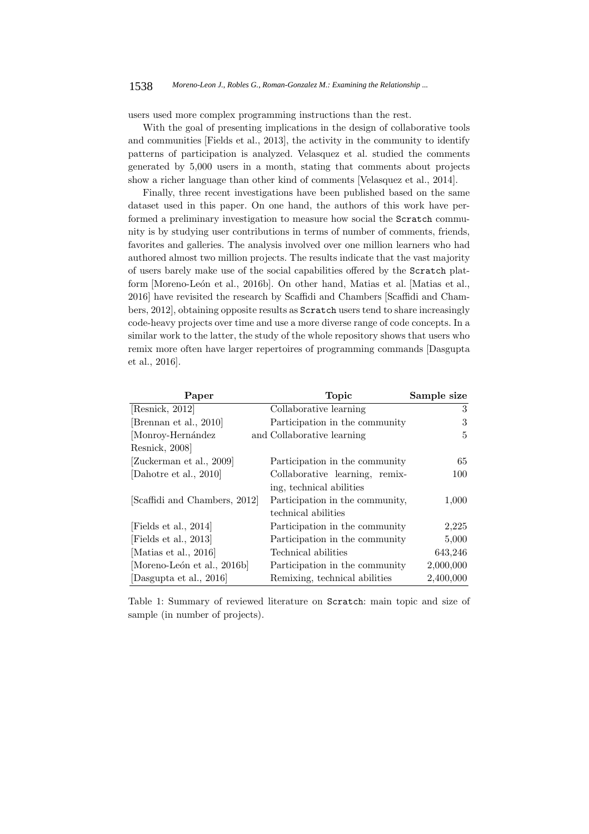users used more complex programming instructions than the rest.

With the goal of presenting implications in the design of collaborative tools and communities [Fields et al., 2013], the activity in the community to identify patterns of participation is analyzed. Velasquez et al. studied the comments generated by 5,000 users in a month, stating that comments about projects show a richer language than other kind of comments [Velasquez et al., 2014].

Finally, three recent investigations have been published based on the same dataset used in this paper. On one hand, the authors of this work have performed a preliminary investigation to measure how social the Scratch community is by studying user contributions in terms of number of comments, friends, favorites and galleries. The analysis involved over one million learners who had authored almost two million projects. The results indicate that the vast majority of users barely make use of the social capabilities offered by the Scratch platform [Moreno-León et al., 2016b]. On other hand, Matias et al. [Matias et al., 2016] have revisited the research by Scaffidi and Chambers [Scaffidi and Chambers, 2012], obtaining opposite results as Scratch users tend to share increasingly code-heavy projects over time and use a more diverse range of code concepts. In a similar work to the latter, the study of the whole repository shows that users who remix more often have larger repertoires of programming commands [Dasgupta et al., 2016].

| Paper                         | <b>Topic</b>                    | Sample size |
|-------------------------------|---------------------------------|-------------|
| [Resnick, 2012]               | Collaborative learning          | 3           |
| [Brennan et al., 2010]        | Participation in the community  | 3           |
| Monroy-Hernández              | and Collaborative learning      | 5           |
| Resnick, 2008]                |                                 |             |
| [Zuckerman et al., 2009]      | Participation in the community  | 65          |
| Dahotre et al., 2010          | Collaborative learning, remix-  | 100         |
|                               | ing, technical abilities        |             |
| [Scaffidi and Chambers, 2012] | Participation in the community, | 1,000       |
|                               | technical abilities             |             |
| [Fields et al., 2014]         | Participation in the community  | 2,225       |
| [Fields et al., 2013]         | Participation in the community  | 5,000       |
| [Matias et al., 2016]         | Technical abilities             | 643,246     |
| [Moreno-León et al., 2016b]   | Participation in the community  | 2,000,000   |
| Dasgupta et al., 2016         | Remixing, technical abilities   | 2,400,000   |

Table 1: Summary of reviewed literature on Scratch: main topic and size of sample (in number of projects).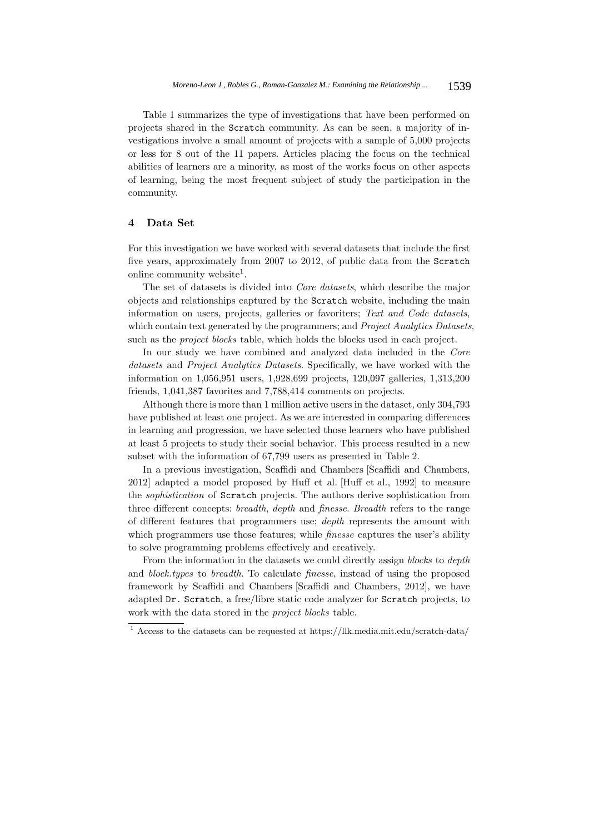Table 1 summarizes the type of investigations that have been performed on projects shared in the Scratch community. As can be seen, a majority of investigations involve a small amount of projects with a sample of 5,000 projects or less for 8 out of the 11 papers. Articles placing the focus on the technical abilities of learners are a minority, as most of the works focus on other aspects of learning, being the most frequent subject of study the participation in the community.

## **4 Data Set**

For this investigation we have worked with several datasets that include the first five years, approximately from 2007 to 2012, of public data from the Scratch online community website<sup>1</sup>.

The set of datasets is divided into Core datasets, which describe the major objects and relationships captured by the Scratch website, including the main information on users, projects, galleries or favoriters; Text and Code datasets, which contain text generated by the programmers; and *Project Analytics Datasets*, such as the *project blocks* table, which holds the blocks used in each project.

In our study we have combined and analyzed data included in the Core datasets and Project Analytics Datasets. Specifically, we have worked with the information on 1,056,951 users, 1,928,699 projects, 120,097 galleries, 1,313,200 friends, 1,041,387 favorites and 7,788,414 comments on projects.

Although there is more than 1 million active users in the dataset, only 304,793 have published at least one project. As we are interested in comparing differences in learning and progression, we have selected those learners who have published at least 5 projects to study their social behavior. This process resulted in a new subset with the information of 67,799 users as presented in Table 2.

In a previous investigation, Scaffidi and Chambers [Scaffidi and Chambers, 2012] adapted a model proposed by Huff et al. [Huff et al., 1992] to measure the sophistication of Scratch projects. The authors derive sophistication from three different concepts: breadth, depth and finesse. Breadth refers to the range of different features that programmers use; depth represents the amount with which programmers use those features; while *finesse* captures the user's ability to solve programming problems effectively and creatively.

From the information in the datasets we could directly assign *blocks* to *depth* and block.types to breadth. To calculate finesse, instead of using the proposed framework by Scaffidi and Chambers [Scaffidi and Chambers, 2012], we have adapted Dr. Scratch, a free/libre static code analyzer for Scratch projects, to work with the data stored in the project blocks table.

 $^{\rm 1}$  Access to the datasets can be requested at https://llk.media.mit.edu/scratch-data/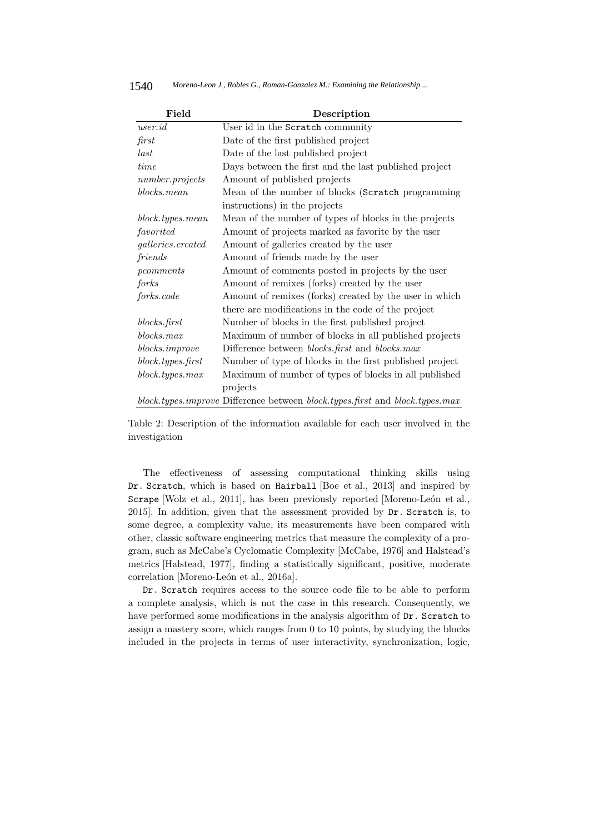| 1540 |  |  | Moreno-Leon J., Robles G., Roman-Gonzalez M.: Examining the Relationship |
|------|--|--|--------------------------------------------------------------------------|
|------|--|--|--------------------------------------------------------------------------|

| Field                    | Description                                                                  |
|--------------------------|------------------------------------------------------------------------------|
| $\emph{user.id}$         | User id in the Scratch community                                             |
| first                    | Date of the first published project                                          |
| last                     | Date of the last published project                                           |
| time                     | Days between the first and the last published project                        |
| $number$ .projects       | Amount of published projects                                                 |
| blocks.mean              | Mean of the number of blocks (Scratch programming                            |
|                          | instructions) in the projects                                                |
| block.types.mean         | Mean of the number of types of blocks in the projects                        |
| favorited                | Amount of projects marked as favorite by the user                            |
| galleries.created        | Amount of galleries created by the user                                      |
| friends                  | Amount of friends made by the user                                           |
| pcomments                | Amount of comments posted in projects by the user                            |
| forks                    | Amount of remixes (forks) created by the user                                |
| forks.code               | Amount of remixes (forks) created by the user in which                       |
|                          | there are modifications in the code of the project                           |
| blocks.first             | Number of blocks in the first published project                              |
| blocks.max               | Maximum of number of blocks in all published projects                        |
| $blocks. \text{improve}$ | Difference between <i>blocks.first</i> and <i>blocks.max</i>                 |
| block.types.first        | Number of type of blocks in the first published project                      |
| block.types.max          | Maximum of number of types of blocks in all published                        |
|                          | projects                                                                     |
|                          | block.types.improve Difference between block.types.first and block.types.max |

Table 2: Description of the information available for each user involved in the investigation

The effectiveness of assessing computational thinking skills using Dr. Scratch, which is based on Hairball [Boe et al., 2013] and inspired by Scrape [Wolz et al., 2011], has been previously reported [Moreno-León et al., 2015]. In addition, given that the assessment provided by Dr. Scratch is, to some degree, a complexity value, its measurements have been compared with other, classic software engineering metrics that measure the complexity of a program, such as McCabe's Cyclomatic Complexity [McCabe, 1976] and Halstead's metrics [Halstead, 1977], finding a statistically significant, positive, moderate correlation [Moreno-León et al., 2016a].

Dr. Scratch requires access to the source code file to be able to perform a complete analysis, which is not the case in this research. Consequently, we have performed some modifications in the analysis algorithm of Dr. Scratch to assign a mastery score, which ranges from 0 to 10 points, by studying the blocks included in the projects in terms of user interactivity, synchronization, logic,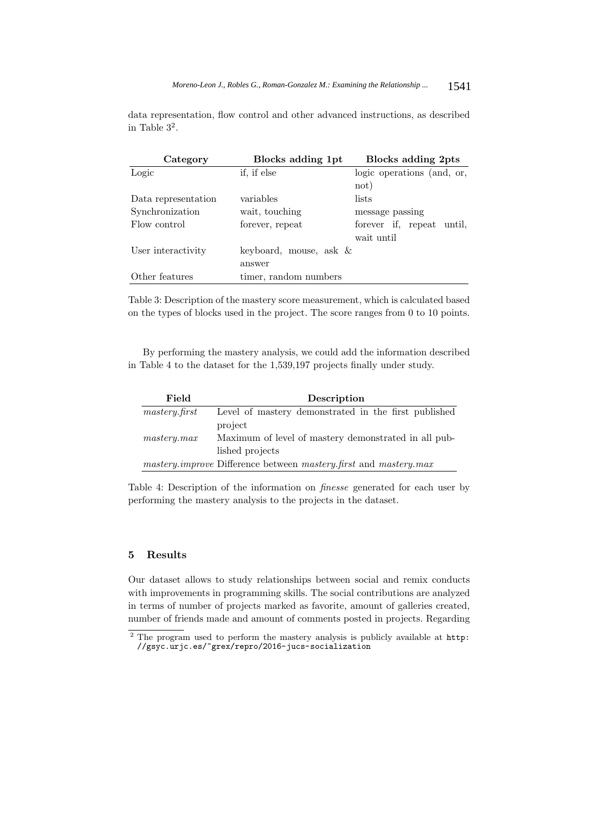data representation, flow control and other advanced instructions, as described in Table  $3^2$ .

| Category                               | Blocks adding 1pt                   |                                         |
|----------------------------------------|-------------------------------------|-----------------------------------------|
| Logic                                  | if, if else                         | logic operations (and, or,              |
| Data representation<br>Synchronization | variables<br>wait, touching         | not)<br>lists<br>message passing        |
| Flow control                           | forever, repeat                     | forever if, repeat until,<br>wait until |
| User interactivity                     | keyboard, mouse, ask $\&$<br>answer |                                         |
| Other features                         | timer, random numbers               |                                         |

Table 3: Description of the mastery score measurement, which is calculated based on the types of blocks used in the project. The score ranges from 0 to 10 points.

By performing the mastery analysis, we could add the information described in Table 4 to the dataset for the 1,539,197 projects finally under study.

| Field          | Description                                                                           |
|----------------|---------------------------------------------------------------------------------------|
| master y.first | Level of mastery demonstrated in the first published                                  |
|                | project                                                                               |
| master y.max   | Maximum of level of mastery demonstrated in all pub-                                  |
|                | lished projects                                                                       |
|                | <i>mastery improve</i> Difference between <i>mastery first</i> and <i>mastery max</i> |

Table 4: Description of the information on finesse generated for each user by performing the mastery analysis to the projects in the dataset.

### **5 Results**

Our dataset allows to study relationships between social and remix conducts with improvements in programming skills. The social contributions are analyzed in terms of number of projects marked as favorite, amount of galleries created, number of friends made and amount of comments posted in projects. Regarding

 $\frac{2}{1}$  The program used to perform the mastery analysis is publicly available at http: //gsyc.urjc.es/~grex/repro/2016-jucs-socialization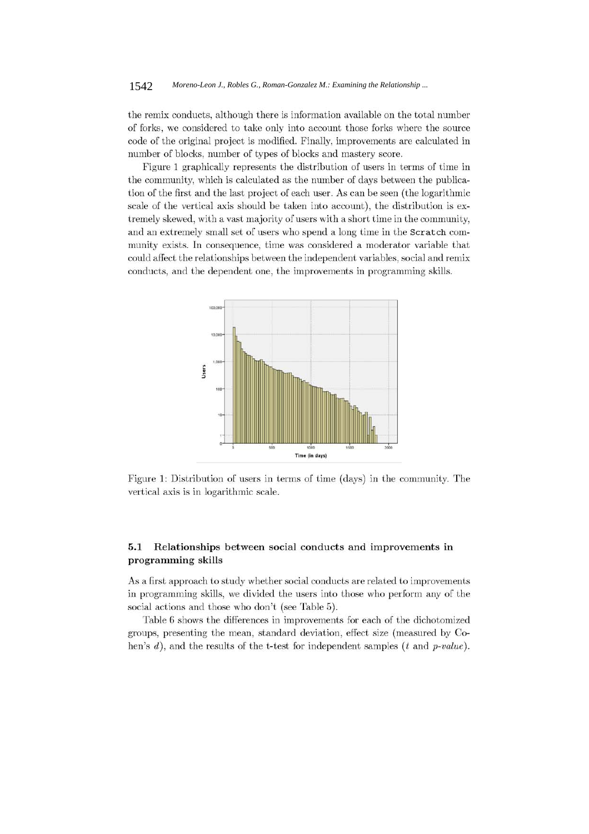### 1542 *Moreno-Leon J., Robles G., Roman-Gonzalez M.: Examining the Relationship ...*

the remix conducts, although there is information available on the total number of forks, we considered to take only into account those forks where the source code of the original project is modified. Finally, improvements are calculated in number of blocks, number of types of blocks and mastery score.

Figure 1 graphically represents the distribution of users in terms of time in the community, which is calculated as the number of days between the publication of the first and the last project of each user. As can be seen (the logarithmic scale of the vertical axis should be taken into account), the distribution is extremely skewed, with a vast majority of users with a short time in the community, and an extremely small set of users who spend a long time in the Scratch community exists. In consequence, time was considered a moderator variable that could affect the relationships between the independent variables, social and remix conducts, and the dependent one, the improvements in programming skills.



Figure 1: Distribution of users in terms of time (days) in the community. The vertical axis is in logarithmic scale.

#### $5.1$ Relationships between social conducts and improvements in programming skills

As a first approach to study whether social conducts are related to improvements in programming skills, we divided the users into those who perform any of the social actions and those who don't (see Table 5).

Table 6 shows the differences in improvements for each of the dichotomized groups, presenting the mean, standard deviation, effect size (measured by Cohen's  $d$ ), and the results of the t-test for independent samples ( $t$  and  $p-value$ ).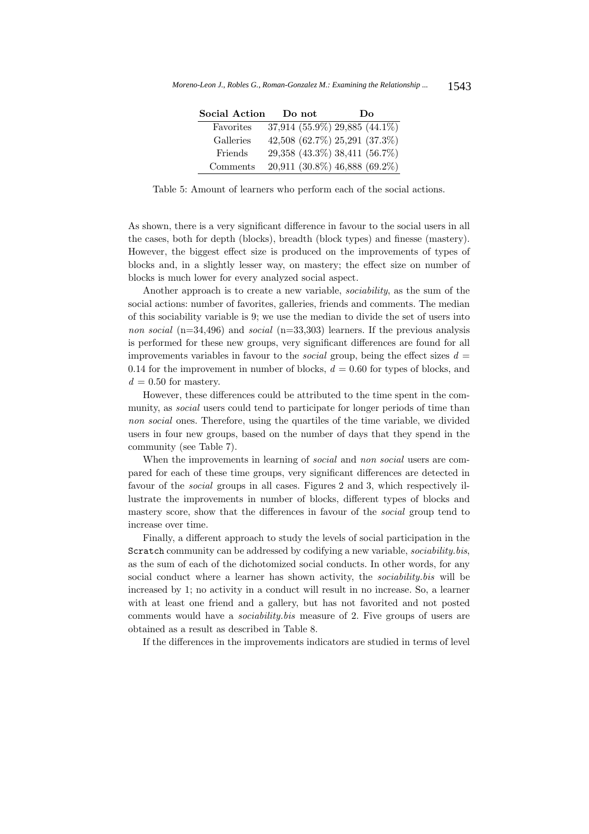| Social Action | Do not                        | Do |
|---------------|-------------------------------|----|
| Favorites     | 37,914 (55.9%) 29,885 (44.1%) |    |
| Galleries     | 42,508 (62.7%) 25,291 (37.3%) |    |
| Friends       | 29,358 (43.3%) 38,411 (56.7%) |    |
| Comments      | 20,911 (30.8%) 46,888 (69.2%) |    |

Table 5: Amount of learners who perform each of the social actions.

As shown, there is a very significant difference in favour to the social users in all the cases, both for depth (blocks), breadth (block types) and finesse (mastery). However, the biggest effect size is produced on the improvements of types of blocks and, in a slightly lesser way, on mastery; the effect size on number of blocks is much lower for every analyzed social aspect.

Another approach is to create a new variable, sociability, as the sum of the social actions: number of favorites, galleries, friends and comments. The median of this sociability variable is 9; we use the median to divide the set of users into non social  $(n=34,496)$  and social  $(n=33,303)$  learners. If the previous analysis is performed for these new groups, very significant differences are found for all improvements variables in favour to the *social* group, being the effect sizes  $d =$ 0.14 for the improvement in number of blocks,  $d = 0.60$  for types of blocks, and  $d = 0.50$  for mastery.

However, these differences could be attributed to the time spent in the community, as *social* users could tend to participate for longer periods of time than non social ones. Therefore, using the quartiles of the time variable, we divided users in four new groups, based on the number of days that they spend in the community (see Table 7).

When the improvements in learning of *social* and *non social* users are compared for each of these time groups, very significant differences are detected in favour of the social groups in all cases. Figures 2 and 3, which respectively illustrate the improvements in number of blocks, different types of blocks and mastery score, show that the differences in favour of the social group tend to increase over time.

Finally, a different approach to study the levels of social participation in the Scratch community can be addressed by codifying a new variable, sociability.bis, as the sum of each of the dichotomized social conducts. In other words, for any social conduct where a learner has shown activity, the *sociability*.bis will be increased by 1; no activity in a conduct will result in no increase. So, a learner with at least one friend and a gallery, but has not favorited and not posted comments would have a sociability.bis measure of 2. Five groups of users are obtained as a result as described in Table 8.

If the differences in the improvements indicators are studied in terms of level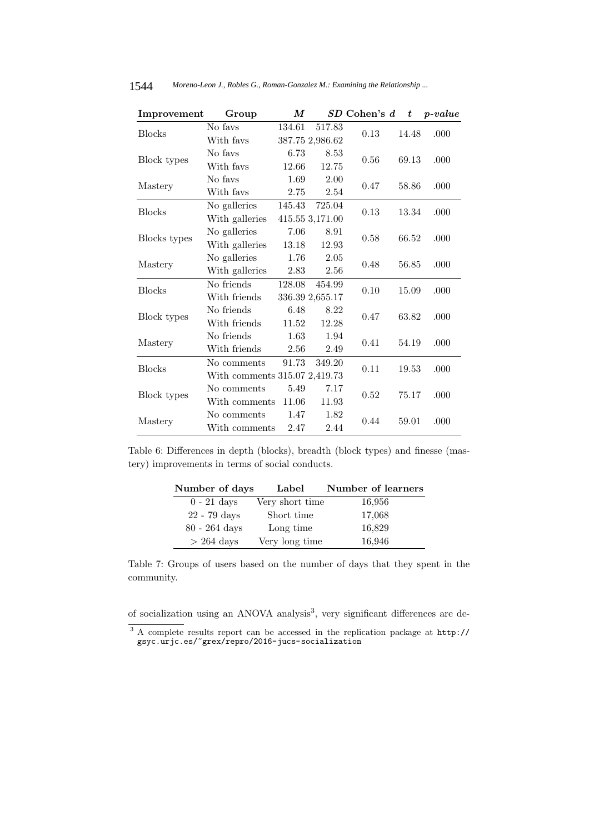| Improvement   | Group          | M                             |                 | $SD$ Cohen's $d$ | $\boldsymbol{t}$ | $p-value$ |  |
|---------------|----------------|-------------------------------|-----------------|------------------|------------------|-----------|--|
| <b>Blocks</b> | No favs        | 134.61                        | 517.83          | 0.13             | 14.48            | .000      |  |
|               | With favs      |                               | 387.75 2,986.62 |                  |                  |           |  |
| Block types   | No fays        | 6.73                          | 8.53            | 0.56             | 69.13            | .000      |  |
|               | With favs      | 12.66                         | 12.75           |                  |                  |           |  |
| Mastery       | No favs        | 1.69                          | 2.00            | 0.47             | 58.86            | .000      |  |
|               | With favs      | 2.75                          | 2.54            |                  |                  |           |  |
| <b>Blocks</b> | No galleries   | 145.43                        | 725.04          | 0.13             | 13.34            | .000      |  |
|               | With galleries |                               | 415.55 3,171.00 |                  |                  |           |  |
| Blocks types  | No galleries   | 7.06                          | 8.91            | 0.58             | 66.52            | .000      |  |
|               | With galleries | 13.18                         | 12.93           |                  |                  |           |  |
| Mastery       | No galleries   | 1.76                          | 2.05            | 0.48             | 56.85            | .000      |  |
|               | With galleries | 2.83                          | 2.56            |                  |                  |           |  |
| <b>Blocks</b> | No friends     | 128.08                        | 454.99          | 0.10             | 15.09            | .000      |  |
|               | With friends   |                               | 336.39 2,655.17 |                  |                  |           |  |
| Block types   | No friends     | 6.48                          | 8.22            | 0.47             | 63.82            | .000      |  |
|               | With friends   | 11.52                         | 12.28           |                  |                  |           |  |
| Mastery       | No friends     | 1.63                          | 1.94            | 0.41             | 54.19            | .000      |  |
|               | With friends   | 2.56                          | 2.49            |                  |                  |           |  |
| <b>Blocks</b> | No comments    | 91.73                         | 349.20          | 0.11             | 19.53            | .000      |  |
|               |                | With comments 315.07 2,419.73 |                 |                  |                  |           |  |
| Block types   | No comments    | 5.49                          | 7.17            | 0.52             | 75.17            | .000      |  |
|               | With comments  | 11.06                         | 11.93           |                  |                  |           |  |
|               | No comments    | 1.47                          | 1.82            | 0.44             | 59.01            | .000      |  |
| Mastery       | With comments  | 2.47                          | 2.44            |                  |                  |           |  |

Table 6: Differences in depth (blocks), breadth (block types) and finesse (mastery) improvements in terms of social conducts.

| Number of days       | Label           | Number of learners |
|----------------------|-----------------|--------------------|
| $0 - 21$ days        | Very short time | 16,956             |
| 22 - 79 days         | Short time      | 17,068             |
| $80 - 264$ days      | Long time       | 16,829             |
| $> 264 \text{ days}$ | Very long time  | 16,946             |

Table 7: Groups of users based on the number of days that they spent in the community.

of socialization using an ANOVA analysis<sup>3</sup>, very significant differences are de-

<sup>&</sup>lt;sup>3</sup> A complete results report can be accessed in the replication package at  $http://gsvc.unic.es/~grex/rebro/2016-ius-socialization$ gsyc.urjc.es/~great/repro/2016-julie socializations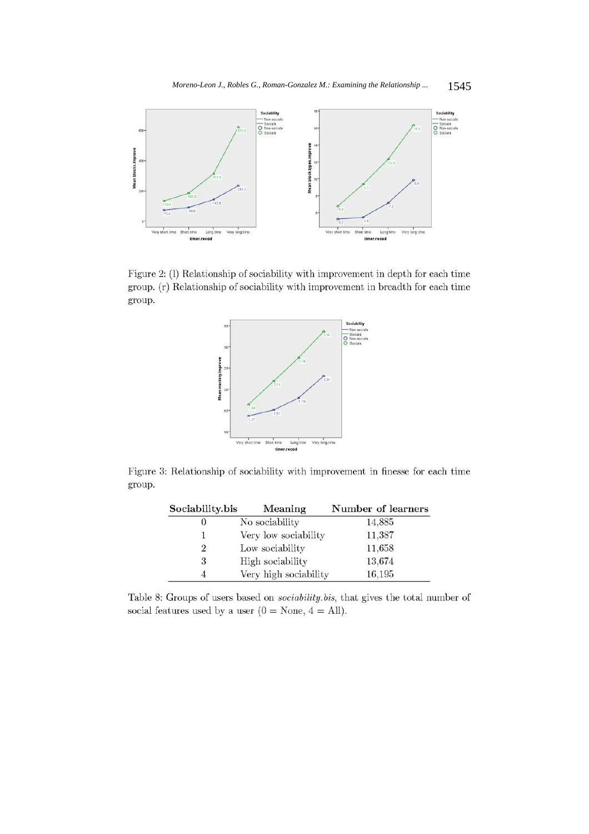

Figure 2: (1) Relationship of sociability with improvement in depth for each time group. (r) Relationship of sociability with improvement in breadth for each time group.



Figure 3: Relationship of sociability with improvement in finesse for each time group.

| Sociability.bis | Meaning               | Number of learners |  |  |  |
|-----------------|-----------------------|--------------------|--|--|--|
| 0               | No sociability        | 14.885             |  |  |  |
|                 | Very low sociability  | 11,387             |  |  |  |
| $\overline{2}$  | Low sociability       | 11,658             |  |  |  |
| 3               | High sociability      | 13,674             |  |  |  |
| 4               | Very high sociability | 16,195             |  |  |  |

Table 8: Groups of users based on *sociability.bis*, that gives the total number of social features used by a user  $(0 = \text{None}, 4 = \text{All}).$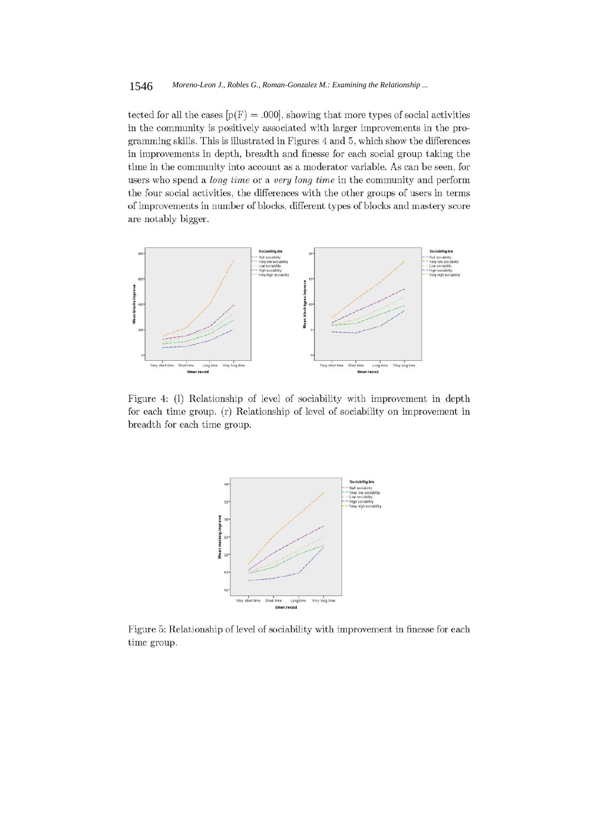tected for all the cases  $[p(F) = .000]$ , showing that more types of social activities in the community is positively associated with larger improvements in the programming skills. This is illustrated in Figures 4 and 5, which show the differences in improvements in depth, breadth and finesse for each social group taking the time in the community into account as a moderator variable. As can be seen, for users who spend a *long time* or a *very long time* in the community and perform the four social activities, the differences with the other groups of users in terms of improvements in number of blocks, different types of blocks and mastery score are notably bigger.



Figure 4: (1) Relationship of level of sociability with improvement in depth for each time group. (r) Relationship of level of sociability on improvement in breadth for each time group.



Figure 5: Relationship of level of sociability with improvement in finesse for each time group.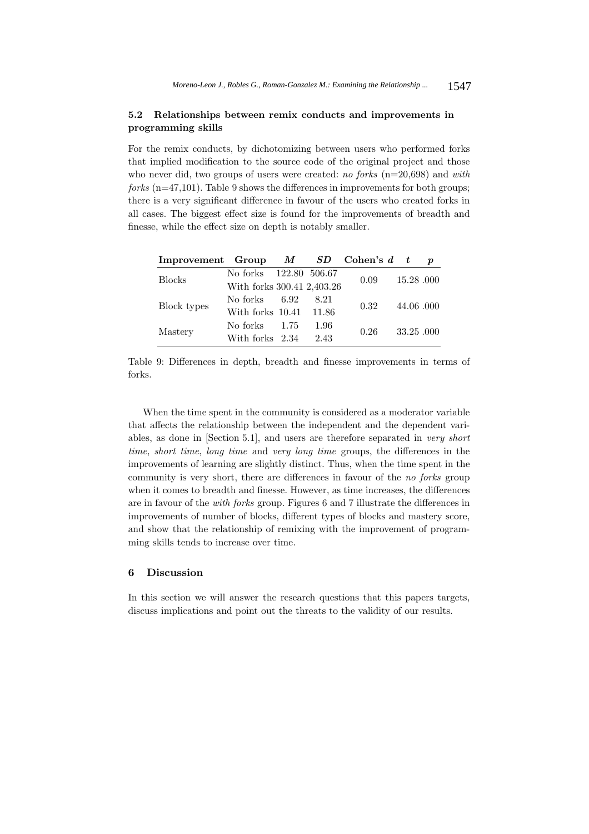### **5.2 Relationships between remix conducts and improvements in programming skills**

For the remix conducts, by dichotomizing between users who performed forks that implied modification to the source code of the original project and those who never did, two groups of users were created: no forks  $(n=20,698)$  and with forks (n=47,101). Table 9 shows the differences in improvements for both groups; there is a very significant difference in favour of the users who created forks in all cases. The biggest effect size is found for the improvements of breadth and finesse, while the effect size on depth is notably smaller.

| Improvement Group $M$ $SD$ Cohen's $d$ t |                            |      |      |  |                                     | $\boldsymbol{p}$ |
|------------------------------------------|----------------------------|------|------|--|-------------------------------------|------------------|
|                                          | No forks 122.80 506.67     |      |      |  |                                     |                  |
| <b>Blocks</b>                            | With forks 300.41 2,403.26 |      | 0.09 |  |                                     |                  |
|                                          | No forks 6.92              | 8.21 |      |  | 15.28.000<br>44.06.000<br>33.25.000 |                  |
| Block types                              | With forks 10.41 11.86     |      | 0.32 |  |                                     |                  |
|                                          | No forks $1.75$            | 1.96 |      |  |                                     |                  |
| Mastery                                  | With forks 2.34            | 2.43 | 0.26 |  |                                     |                  |

Table 9: Differences in depth, breadth and finesse improvements in terms of forks.

When the time spent in the community is considered as a moderator variable that affects the relationship between the independent and the dependent variables, as done in [Section 5.1], and users are therefore separated in very short time, short time, long time and very long time groups, the differences in the improvements of learning are slightly distinct. Thus, when the time spent in the community is very short, there are differences in favour of the no forks group when it comes to breadth and finesse. However, as time increases, the differences are in favour of the with forks group. Figures 6 and 7 illustrate the differences in improvements of number of blocks, different types of blocks and mastery score, and show that the relationship of remixing with the improvement of programming skills tends to increase over time.

### **6 Discussion**

In this section we will answer the research questions that this papers targets, discuss implications and point out the threats to the validity of our results.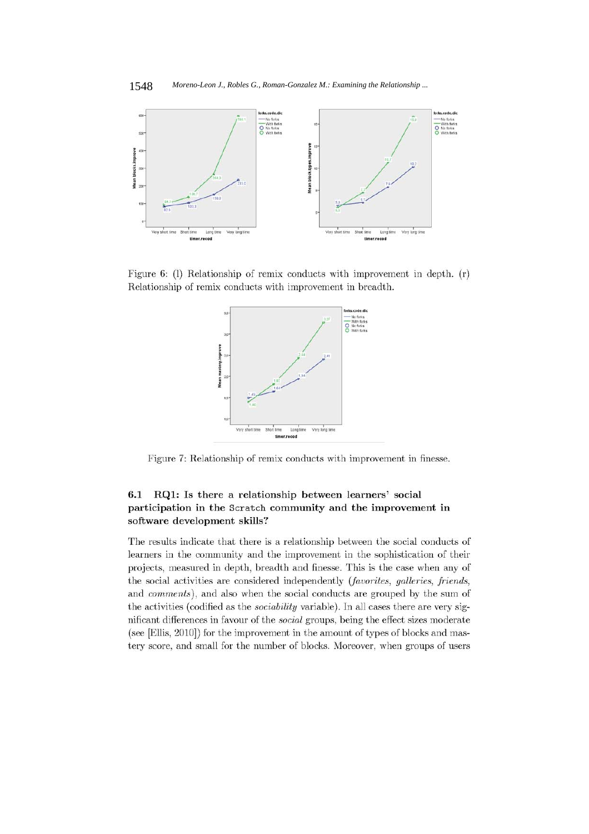

Figure 6: (1) Relationship of remix conducts with improvement in depth.  $(r)$ Relationship of remix conducts with improvement in breadth.



Figure 7: Relationship of remix conducts with improvement in finesse.

### $6.1$ RQ1: Is there a relationship between learners' social participation in the Scratch community and the improvement in software development skills?

The results indicate that there is a relationship between the social conducts of learners in the community and the improvement in the sophistication of their projects, measured in depth, breadth and finesse. This is the case when any of the social activities are considered independently (favorites, galleries, friends, and comments), and also when the social conducts are grouped by the sum of the activities (codified as the *sociability* variable). In all cases there are very significant differences in favour of the *social* groups, being the effect sizes moderate (see [Ellis, 2010]) for the improvement in the amount of types of blocks and mastery score, and small for the number of blocks. Moreover, when groups of users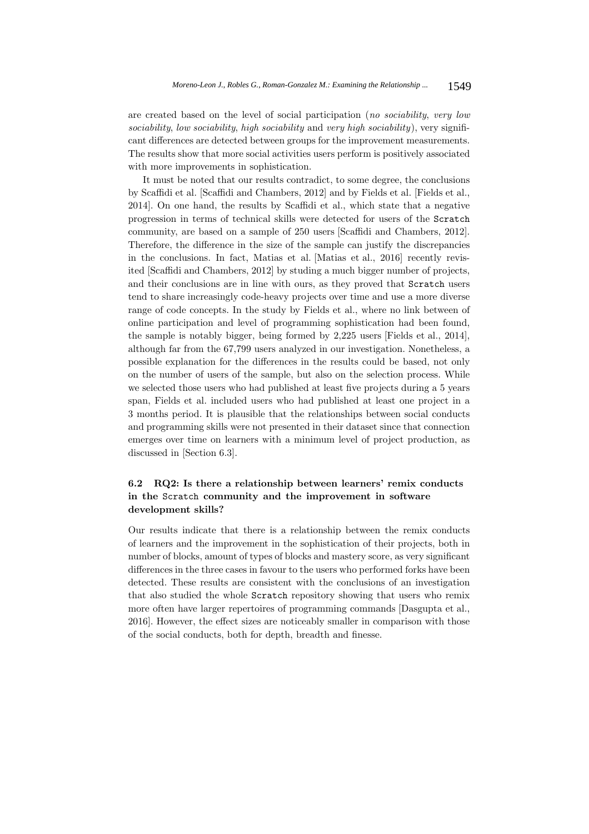are created based on the level of social participation (no sociability, very low sociability, low sociability, high sociability and very high sociability), very significant differences are detected between groups for the improvement measurements. The results show that more social activities users perform is positively associated with more improvements in sophistication.

It must be noted that our results contradict, to some degree, the conclusions by Scaffidi et al. [Scaffidi and Chambers, 2012] and by Fields et al. [Fields et al., 2014]. On one hand, the results by Scaffidi et al., which state that a negative progression in terms of technical skills were detected for users of the Scratch community, are based on a sample of 250 users [Scaffidi and Chambers, 2012]. Therefore, the difference in the size of the sample can justify the discrepancies in the conclusions. In fact, Matias et al. [Matias et al., 2016] recently revisited [Scaffidi and Chambers, 2012] by studing a much bigger number of projects, and their conclusions are in line with ours, as they proved that Scratch users tend to share increasingly code-heavy projects over time and use a more diverse range of code concepts. In the study by Fields et al., where no link between of online participation and level of programming sophistication had been found, the sample is notably bigger, being formed by 2,225 users [Fields et al., 2014], although far from the 67,799 users analyzed in our investigation. Nonetheless, a possible explanation for the differences in the results could be based, not only on the number of users of the sample, but also on the selection process. While we selected those users who had published at least five projects during a 5 years span, Fields et al. included users who had published at least one project in a 3 months period. It is plausible that the relationships between social conducts and programming skills were not presented in their dataset since that connection emerges over time on learners with a minimum level of project production, as discussed in [Section 6.3].

# **6.2 RQ2: Is there a relationship between learners' remix conducts in the** Scratch **community and the improvement in software development skills?**

Our results indicate that there is a relationship between the remix conducts of learners and the improvement in the sophistication of their projects, both in number of blocks, amount of types of blocks and mastery score, as very significant differences in the three cases in favour to the users who performed forks have been detected. These results are consistent with the conclusions of an investigation that also studied the whole Scratch repository showing that users who remix more often have larger repertoires of programming commands [Dasgupta et al., 2016]. However, the effect sizes are noticeably smaller in comparison with those of the social conducts, both for depth, breadth and finesse.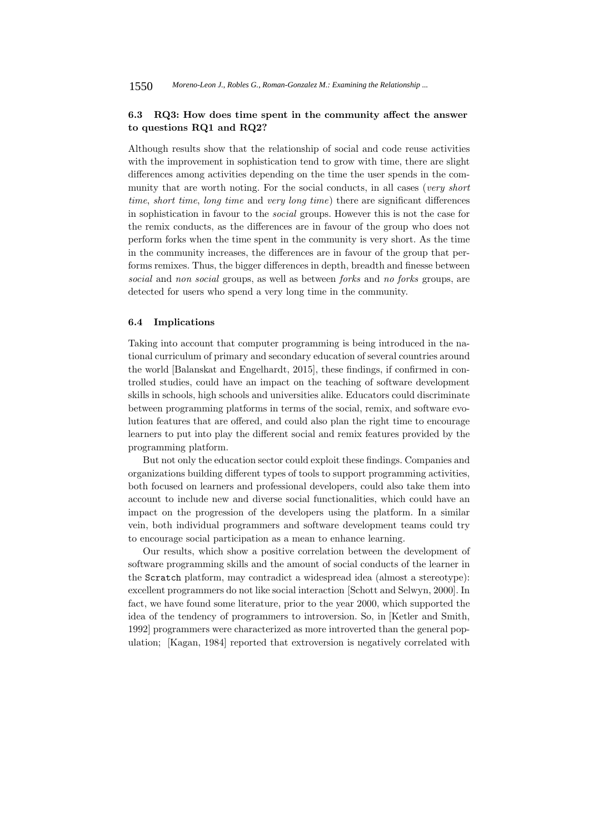### **6.3 RQ3: How does time spent in the community affect the answer to questions RQ1 and RQ2?**

Although results show that the relationship of social and code reuse activities with the improvement in sophistication tend to grow with time, there are slight differences among activities depending on the time the user spends in the community that are worth noting. For the social conducts, in all cases (very short time, short time, long time and very long time) there are significant differences in sophistication in favour to the social groups. However this is not the case for the remix conducts, as the differences are in favour of the group who does not perform forks when the time spent in the community is very short. As the time in the community increases, the differences are in favour of the group that performs remixes. Thus, the bigger differences in depth, breadth and finesse between social and non social groups, as well as between forks and no forks groups, are detected for users who spend a very long time in the community.

### **6.4 Implications**

Taking into account that computer programming is being introduced in the national curriculum of primary and secondary education of several countries around the world [Balanskat and Engelhardt, 2015], these findings, if confirmed in controlled studies, could have an impact on the teaching of software development skills in schools, high schools and universities alike. Educators could discriminate between programming platforms in terms of the social, remix, and software evolution features that are offered, and could also plan the right time to encourage learners to put into play the different social and remix features provided by the programming platform.

But not only the education sector could exploit these findings. Companies and organizations building different types of tools to support programming activities, both focused on learners and professional developers, could also take them into account to include new and diverse social functionalities, which could have an impact on the progression of the developers using the platform. In a similar vein, both individual programmers and software development teams could try to encourage social participation as a mean to enhance learning.

Our results, which show a positive correlation between the development of software programming skills and the amount of social conducts of the learner in the Scratch platform, may contradict a widespread idea (almost a stereotype): excellent programmers do not like social interaction [Schott and Selwyn, 2000]. In fact, we have found some literature, prior to the year 2000, which supported the idea of the tendency of programmers to introversion. So, in [Ketler and Smith, 1992] programmers were characterized as more introverted than the general population; [Kagan, 1984] reported that extroversion is negatively correlated with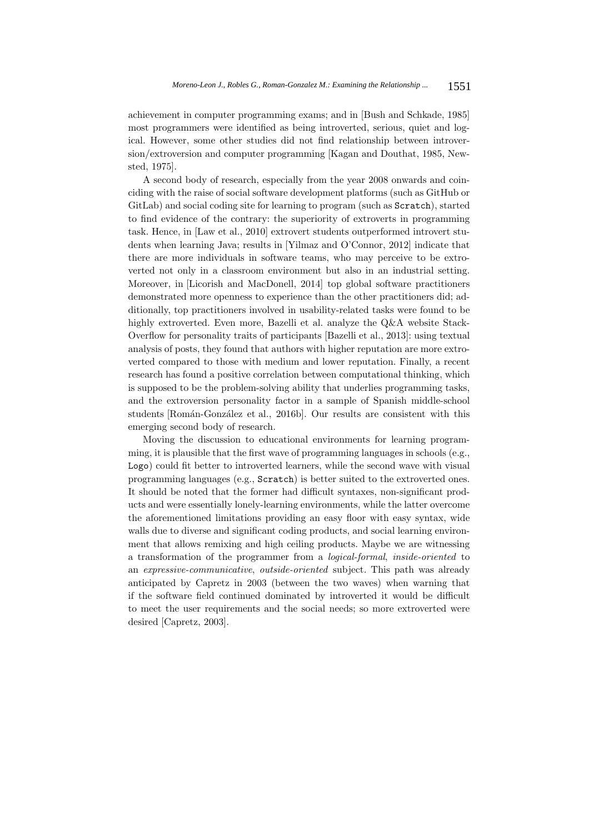achievement in computer programming exams; and in [Bush and Schkade, 1985] most programmers were identified as being introverted, serious, quiet and logical. However, some other studies did not find relationship between introversion/extroversion and computer programming [Kagan and Douthat, 1985, Newsted, 1975].

A second body of research, especially from the year 2008 onwards and coinciding with the raise of social software development platforms (such as GitHub or GitLab) and social coding site for learning to program (such as Scratch), started to find evidence of the contrary: the superiority of extroverts in programming task. Hence, in [Law et al., 2010] extrovert students outperformed introvert students when learning Java; results in [Yilmaz and O'Connor, 2012] indicate that there are more individuals in software teams, who may perceive to be extroverted not only in a classroom environment but also in an industrial setting. Moreover, in [Licorish and MacDonell, 2014] top global software practitioners demonstrated more openness to experience than the other practitioners did; additionally, top practitioners involved in usability-related tasks were found to be highly extroverted. Even more, Bazelli et al. analyze the Q&A website Stack-Overflow for personality traits of participants [Bazelli et al., 2013]: using textual analysis of posts, they found that authors with higher reputation are more extroverted compared to those with medium and lower reputation. Finally, a recent research has found a positive correlation between computational thinking, which is supposed to be the problem-solving ability that underlies programming tasks, and the extroversion personality factor in a sample of Spanish middle-school students [Román-González et al., 2016b]. Our results are consistent with this emerging second body of research.

Moving the discussion to educational environments for learning programming, it is plausible that the first wave of programming languages in schools  $(e.g.,)$ Logo) could fit better to introverted learners, while the second wave with visual programming languages (e.g., Scratch) is better suited to the extroverted ones. It should be noted that the former had difficult syntaxes, non-significant products and were essentially lonely-learning environments, while the latter overcome the aforementioned limitations providing an easy floor with easy syntax, wide walls due to diverse and significant coding products, and social learning environment that allows remixing and high ceiling products. Maybe we are witnessing a transformation of the programmer from a logical-formal, inside-oriented to an expressive-communicative, outside-oriented subject. This path was already anticipated by Capretz in 2003 (between the two waves) when warning that if the software field continued dominated by introverted it would be difficult to meet the user requirements and the social needs; so more extroverted were desired [Capretz, 2003].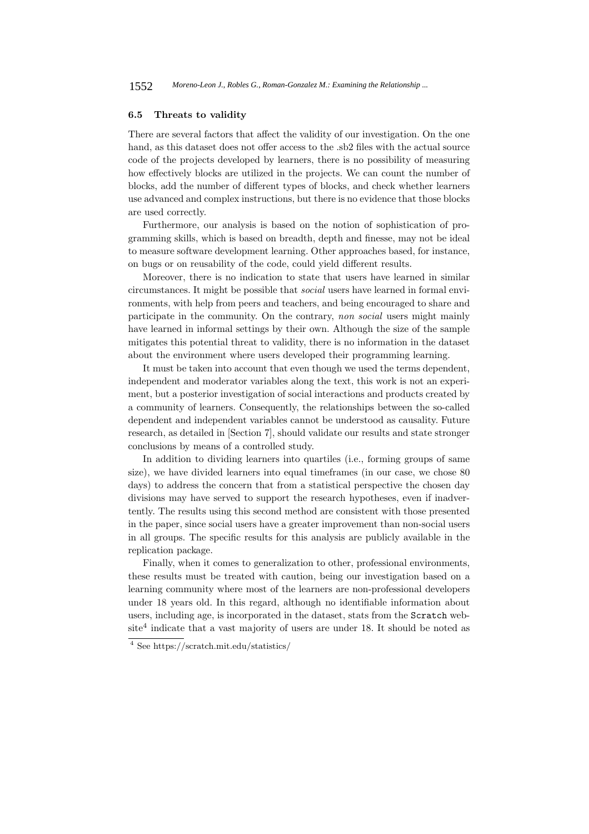### **6.5 Threats to validity**

There are several factors that affect the validity of our investigation. On the one hand, as this dataset does not offer access to the .sb2 files with the actual source code of the projects developed by learners, there is no possibility of measuring how effectively blocks are utilized in the projects. We can count the number of blocks, add the number of different types of blocks, and check whether learners use advanced and complex instructions, but there is no evidence that those blocks are used correctly.

Furthermore, our analysis is based on the notion of sophistication of programming skills, which is based on breadth, depth and finesse, may not be ideal to measure software development learning. Other approaches based, for instance, on bugs or on reusability of the code, could yield different results.

Moreover, there is no indication to state that users have learned in similar circumstances. It might be possible that social users have learned in formal environments, with help from peers and teachers, and being encouraged to share and participate in the community. On the contrary, non social users might mainly have learned in informal settings by their own. Although the size of the sample mitigates this potential threat to validity, there is no information in the dataset about the environment where users developed their programming learning.

It must be taken into account that even though we used the terms dependent, independent and moderator variables along the text, this work is not an experiment, but a posterior investigation of social interactions and products created by a community of learners. Consequently, the relationships between the so-called dependent and independent variables cannot be understood as causality. Future research, as detailed in [Section 7], should validate our results and state stronger conclusions by means of a controlled study.

In addition to dividing learners into quartiles (i.e., forming groups of same size), we have divided learners into equal timeframes (in our case, we chose 80 days) to address the concern that from a statistical perspective the chosen day divisions may have served to support the research hypotheses, even if inadvertently. The results using this second method are consistent with those presented in the paper, since social users have a greater improvement than non-social users in all groups. The specific results for this analysis are publicly available in the replication package.

Finally, when it comes to generalization to other, professional environments, these results must be treated with caution, being our investigation based on a learning community where most of the learners are non-professional developers under 18 years old. In this regard, although no identifiable information about users, including age, is incorporated in the dataset, stats from the Scratch web $site<sup>4</sup> indicate that a vast majority of users are under 18. It should be noted as$ 

<sup>4</sup> See https://scratch.mit.edu/statistics/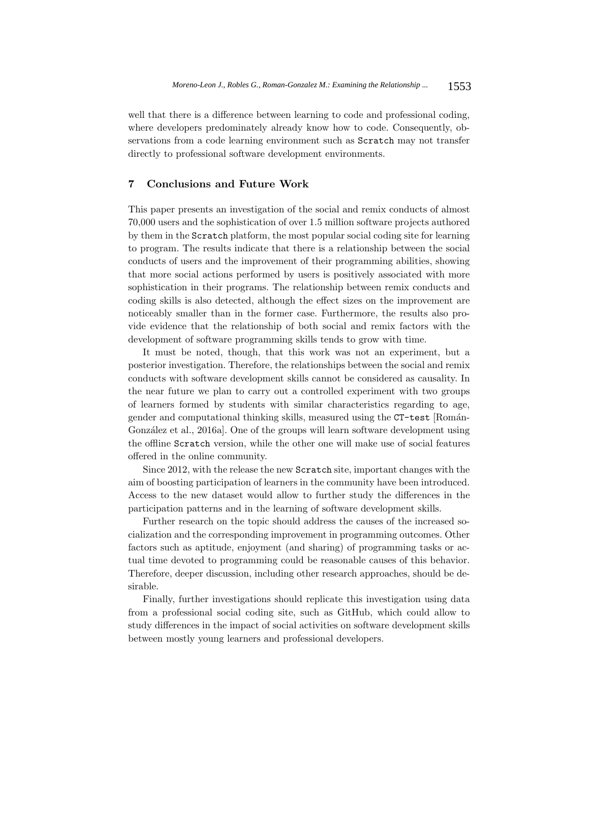well that there is a difference between learning to code and professional coding, where developers predominately already know how to code. Consequently, observations from a code learning environment such as Scratch may not transfer directly to professional software development environments.

### **7 Conclusions and Future Work**

This paper presents an investigation of the social and remix conducts of almost 70,000 users and the sophistication of over 1.5 million software projects authored by them in the Scratch platform, the most popular social coding site for learning to program. The results indicate that there is a relationship between the social conducts of users and the improvement of their programming abilities, showing that more social actions performed by users is positively associated with more sophistication in their programs. The relationship between remix conducts and coding skills is also detected, although the effect sizes on the improvement are noticeably smaller than in the former case. Furthermore, the results also provide evidence that the relationship of both social and remix factors with the development of software programming skills tends to grow with time.

It must be noted, though, that this work was not an experiment, but a posterior investigation. Therefore, the relationships between the social and remix conducts with software development skills cannot be considered as causality. In the near future we plan to carry out a controlled experiment with two groups of learners formed by students with similar characteristics regarding to age, gender and computational thinking skills, measured using the CT-test [Román-González et al., 2016a]. One of the groups will learn software development using the offline Scratch version, while the other one will make use of social features offered in the online community.

Since 2012, with the release the new Scratch site, important changes with the aim of boosting participation of learners in the community have been introduced. Access to the new dataset would allow to further study the differences in the participation patterns and in the learning of software development skills.

Further research on the topic should address the causes of the increased socialization and the corresponding improvement in programming outcomes. Other factors such as aptitude, enjoyment (and sharing) of programming tasks or actual time devoted to programming could be reasonable causes of this behavior. Therefore, deeper discussion, including other research approaches, should be desirable.

Finally, further investigations should replicate this investigation using data from a professional social coding site, such as GitHub, which could allow to study differences in the impact of social activities on software development skills between mostly young learners and professional developers.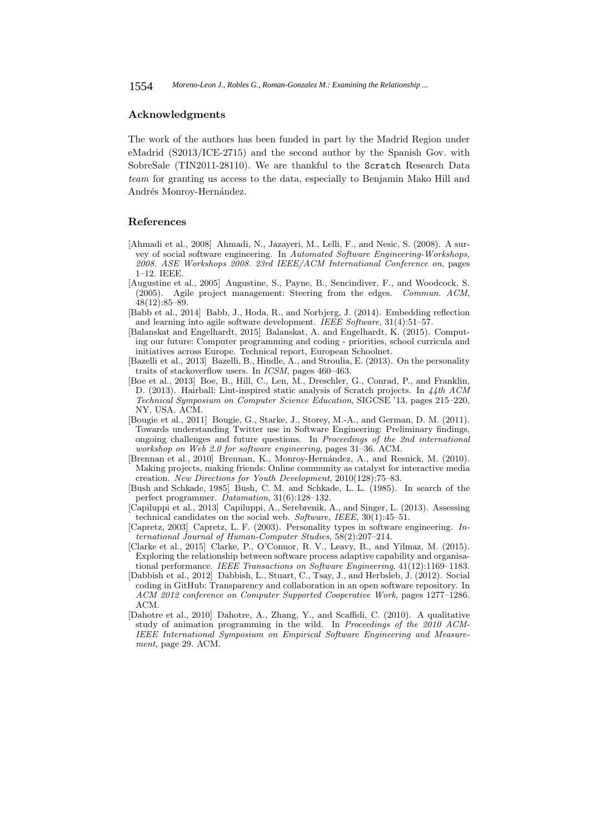### **Acknowledgments**

The work of the authors has been funded in part by the Madrid Region under eMadrid (S2013/ICE-2715) and the second author by the Spanish Gov. with SobreSale (TIN2011-28110). We are thankful to the Scratch Research Data team for granting us access to the data, especially to Benjamin Mako Hill and Andrés Monroy-Hernández.

### **References**

- [Ahmadi et al., 2008] Ahmadi, N., Jazayeri, M., Lelli, F., and Nesic, S. (2008). A survey of social software engineering. In Automated Software Engineering-Workshops, 2008. ASE Workshops 2008. 23rd IEEE/ACM International Conference on, pages 1–12. IEEE.
- [Augustine et al., 2005] Augustine, S., Payne, B., Sencindiver, F., and Woodcock, S. (2005). Agile project management: Steering from the edges. Commun. ACM, 48(12):85–89.
- [Babb et al., 2014] Babb, J., Hoda, R., and Norbjerg, J. (2014). Embedding reflection and learning into agile software development. IEEE Software, 31(4):51–57.
- [Balanskat and Engelhardt, 2015] Balanskat, A. and Engelhardt, K. (2015). Computing our future: Computer programming and coding - priorities, school curricula and initiatives across Europe. Technical report, European Schoolnet.
- [Bazelli et al., 2013] Bazelli, B., Hindle, A., and Stroulia, E. (2013). On the personality traits of stackoverflow users. In ICSM, pages 460–463.
- [Boe et al., 2013] Boe, B., Hill, C., Len, M., Dreschler, G., Conrad, P., and Franklin, D. (2013). Hairball: Lint-inspired static analysis of Scratch projects. In 44th ACM Technical Symposium on Computer Science Education, SIGCSE '13, pages 215–220, NY, USA. ACM.
- [Bougie et al., 2011] Bougie, G., Starke, J., Storey, M.-A., and German, D. M. (2011). Towards understanding Twitter use in Software Engineering: Preliminary findings, ongoing challenges and future questions. In Proceedings of the 2nd international workshop on Web 2.0 for software engineering, pages 31–36. ACM.
- [Brennan et al., 2010] Brennan, K., Monroy-Hern´andez, A., and Resnick, M. (2010). Making projects, making friends: Online community as catalyst for interactive media creation. New Directions for Youth Development, 2010(128):75–83.
- [Bush and Schkade, 1985] Bush, C. M. and Schkade, L. L. (1985). In search of the perfect programmer. Datamation, 31(6):128–132.
- [Capiluppi et al., 2013] Capiluppi, A., Serebrenik, A., and Singer, L. (2013). Assessing technical candidates on the social web. Software, IEEE, 30(1):45–51.
- [Capretz, 2003] Capretz, L. F. (2003). Personality types in software engineering. International Journal of Human-Computer Studies, 58(2):207–214.
- [Clarke et al., 2015] Clarke, P., O'Connor, R. V., Leavy, B., and Yilmaz, M. (2015). Exploring the relationship between software process adaptive capability and organisational performance. IEEE Transactions on Software Engineering, 41(12):1169–1183.
- [Dabbish et al., 2012] Dabbish, L., Stuart, C., Tsay, J., and Herbsleb, J. (2012). Social coding in GitHub: Transparency and collaboration in an open software repository. In ACM 2012 conference on Computer Supported Cooperative Work, pages 1277–1286. ACM.
- [Dahotre et al., 2010] Dahotre, A., Zhang, Y., and Scaffidi, C. (2010). A qualitative study of animation programming in the wild. In Proceedings of the 2010 ACM-IEEE International Symposium on Empirical Software Engineering and Measurement, page 29. ACM.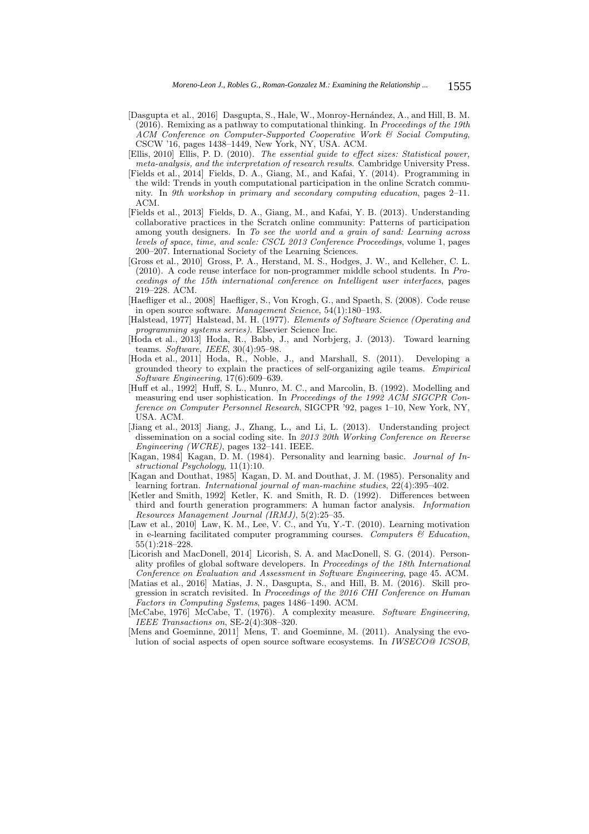- [Dasgupta et al., 2016] Dasgupta, S., Hale, W., Monroy-Hernández, A., and Hill, B. M. (2016). Remixing as a pathway to computational thinking. In Proceedings of the 19th ACM Conference on Computer-Supported Cooperative Work & Social Computing, CSCW '16, pages 1438–1449, New York, NY, USA. ACM.
- [Ellis, 2010] Ellis, P. D. (2010). The essential guide to effect sizes: Statistical power, meta-analysis, and the interpretation of research results. Cambridge University Press.
- [Fields et al., 2014] Fields, D. A., Giang, M., and Kafai, Y. (2014). Programming in the wild: Trends in youth computational participation in the online Scratch community. In 9th workshop in primary and secondary computing education, pages 2–11. ACM.
- [Fields et al., 2013] Fields, D. A., Giang, M., and Kafai, Y. B. (2013). Understanding collaborative practices in the Scratch online community: Patterns of participation among youth designers. In To see the world and a grain of sand: Learning across levels of space, time, and scale: CSCL 2013 Conference Proceedings, volume 1, pages 200–207. International Society of the Learning Sciences.
- [Gross et al., 2010] Gross, P. A., Herstand, M. S., Hodges, J. W., and Kelleher, C. L. (2010). A code reuse interface for non-programmer middle school students. In Proceedings of the 15th international conference on Intelligent user interfaces, pages 219–228. ACM.
- [Haefliger et al., 2008] Haefliger, S., Von Krogh, G., and Spaeth, S. (2008). Code reuse in open source software. Management Science, 54(1):180–193.
- [Halstead, 1977] Halstead, M. H. (1977). Elements of Software Science (Operating and programming systems series). Elsevier Science Inc.
- [Hoda et al., 2013] Hoda, R., Babb, J., and Norbjerg, J. (2013). Toward learning teams. Software, IEEE, 30(4):95–98.
- [Hoda et al., 2011] Hoda, R., Noble, J., and Marshall, S. (2011). Developing a grounded theory to explain the practices of self-organizing agile teams. Empirical Software Engineering, 17(6):609–639.
- [Huff et al., 1992] Huff, S. L., Munro, M. C., and Marcolin, B. (1992). Modelling and measuring end user sophistication. In Proceedings of the 1992 ACM SIGCPR Conference on Computer Personnel Research, SIGCPR '92, pages 1–10, New York, NY, USA. ACM.
- [Jiang et al., 2013] Jiang, J., Zhang, L., and Li, L. (2013). Understanding project dissemination on a social coding site. In 2013 20th Working Conference on Reverse Engineering (WCRE), pages 132–141. IEEE.
- [Kagan, 1984] Kagan, D. M. (1984). Personality and learning basic. Journal of Instructional Psychology, 11(1):10.
- [Kagan and Douthat, 1985] Kagan, D. M. and Douthat, J. M. (1985). Personality and learning fortran. International journal of man-machine studies, 22(4):395–402.
- [Ketler and Smith, 1992] Ketler, K. and Smith, R. D. (1992). Differences between third and fourth generation programmers: A human factor analysis. Information Resources Management Journal (IRMJ), 5(2):25–35.
- [Law et al., 2010] Law, K. M., Lee, V. C., and Yu, Y.-T. (2010). Learning motivation in e-learning facilitated computer programming courses. Computers  $\mathcal C$  Education, 55(1):218–228.
- [Licorish and MacDonell, 2014] Licorish, S. A. and MacDonell, S. G. (2014). Personality profiles of global software developers. In Proceedings of the 18th International Conference on Evaluation and Assessment in Software Engineering, page 45. ACM.
- [Matias et al., 2016] Matias, J. N., Dasgupta, S., and Hill, B. M. (2016). Skill progression in scratch revisited. In Proceedings of the 2016 CHI Conference on Human Factors in Computing Systems, pages 1486–1490. ACM.
- [McCabe, 1976] McCabe, T. (1976). A complexity measure. Software Engineering, IEEE Transactions on, SE-2(4):308–320.
- [Mens and Goeminne, 2011] Mens, T. and Goeminne, M. (2011). Analysing the evolution of social aspects of open source software ecosystems. In IWSECO@ ICSOB,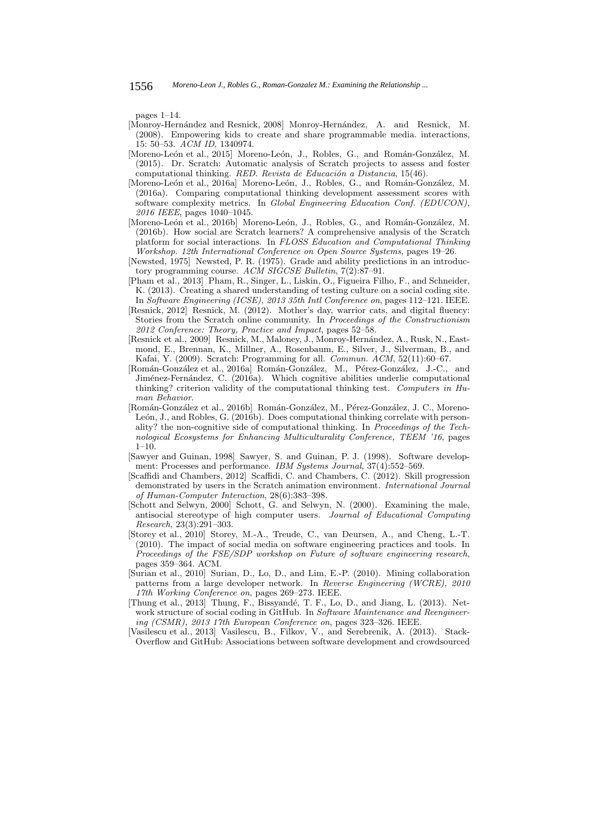pages 1–14.

- [Monroy-Hernández and Resnick, 2008] Monroy-Hernández, A. and Resnick, M. (2008). Empowering kids to create and share programmable media. interactions, 15: 50–53. ACM ID, 1340974.
- [Moreno-León et al., 2015] Moreno-León, J., Robles, G., and Román-González, M. (2015). Dr. Scratch: Automatic analysis of Scratch projects to assess and foster computational thinking. RED. Revista de Educación a Distancia,  $15(46)$ .
- [Moreno-León et al., 2016a] Moreno-León, J., Robles, G., and Román-González, M. (2016a). Comparing computational thinking development assessment scores with software complexity metrics. In Global Engineering Education Conf. (EDUCON), 2016 IEEE, pages 1040–1045.
- [Moreno-León et al., 2016b] Moreno-León, J., Robles, G., and Román-González, M. (2016b). How social are Scratch learners? A comprehensive analysis of the Scratch platform for social interactions. In FLOSS Education and Computational Thinking Workshop. 12th International Conference on Open Source Systems, pages 19–26.
- [Newsted, 1975] Newsted, P. R. (1975). Grade and ability predictions in an introductory programming course. ACM SIGCSE Bulletin, 7(2):87-91.
- [Pham et al., 2013] Pham, R., Singer, L., Liskin, O., Figueira Filho, F., and Schneider, K. (2013). Creating a shared understanding of testing culture on a social coding site. In Software Engineering (ICSE), 2013 35th Intl Conference on, pages 112–121. IEEE.
- [Resnick, 2012] Resnick, M. (2012). Mother's day, warrior cats, and digital fluency: Stories from the Scratch online community. In Proceedings of the Constructionism 2012 Conference: Theory, Practice and Impact, pages 52–58.
- [Resnick et al., 2009] Resnick, M., Maloney, J., Monroy-Hernández, A., Rusk, N., Eastmond, E., Brennan, K., Millner, A., Rosenbaum, E., Silver, J., Silverman, B., and Kafai, Y. (2009). Scratch: Programming for all. Commun. ACM, 52(11):60–67.
- [Román-González et al., 2016a] Román-González, M., Pérez-González, J.-C., and Jiménez-Fernández, C. (2016a). Which cognitive abilities underlie computational thinking? criterion validity of the computational thinking test. Computers in Human Behavior.
- [Román-González et al., 2016b] Román-González, M., Pérez-González, J. C., Moreno-León, J., and Robles, G. (2016b). Does computational thinking correlate with personality? the non-cognitive side of computational thinking. In Proceedings of the Technological Ecosystems for Enhancing Multiculturality Conference, TEEM '16, pages  $1-10.$
- [Sawyer and Guinan, 1998] Sawyer, S. and Guinan, P. J. (1998). Software development: Processes and performance. IBM Systems Journal, 37(4):552-569.
- [Scaffidi and Chambers, 2012] Scaffidi, C. and Chambers, C. (2012). Skill progression demonstrated by users in the Scratch animation environment. International Journal of Human-Computer Interaction, 28(6):383–398.
- [Schott and Selwyn, 2000] Schott, G. and Selwyn, N. (2000). Examining the male, antisocial stereotype of high computer users. Journal of Educational Computing Research, 23(3):291–303.
- [Storey et al., 2010] Storey, M.-A., Treude, C., van Deursen, A., and Cheng, L.-T. (2010). The impact of social media on software engineering practices and tools. In Proceedings of the FSE/SDP workshop on Future of software engineering research, pages 359–364. ACM.
- [Surian et al., 2010] Surian, D., Lo, D., and Lim, E.-P. (2010). Mining collaboration patterns from a large developer network. In Reverse Engineering (WCRE), 2010 17th Working Conference on, pages 269–273. IEEE.
- [Thung et al., 2013] Thung, F., Bissyandé, T. F., Lo, D., and Jiang, L. (2013). Network structure of social coding in GitHub. In Software Maintenance and Reengineering (CSMR), 2013 17th European Conference on, pages 323–326. IEEE.
- [Vasilescu et al., 2013] Vasilescu, B., Filkov, V., and Serebrenik, A. (2013). Stack-Overflow and GitHub: Associations between software development and crowdsourced